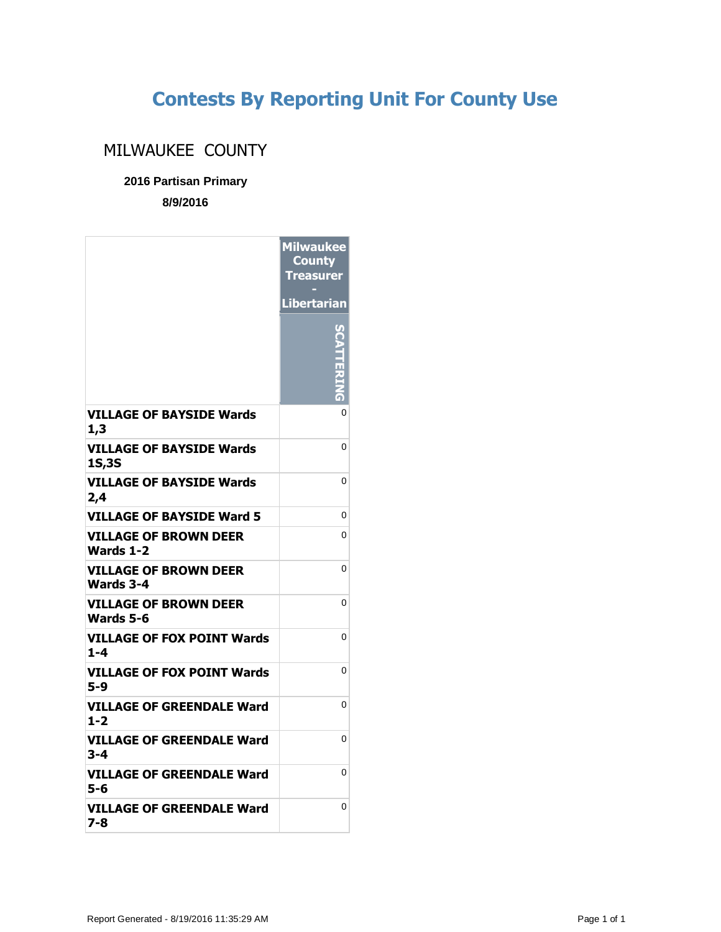## **Contests By Reporting Unit For County Use**

## MILWAUKEE COUNTY

## **2016 Partisan Primary**

**8/9/2016**

|                                                 | <b>Milwaukee</b><br><b>County</b><br>Treasurer |
|-------------------------------------------------|------------------------------------------------|
|                                                 | <b>Libertarian</b>                             |
|                                                 |                                                |
| <b>VILLAGE OF BAYSIDE Wards</b><br>1,3          | 0                                              |
| <b>VILLAGE OF BAYSIDE Wards</b><br><b>1S,3S</b> | 0                                              |
| <b>VILLAGE OF BAYSIDE Wards</b><br>2,4          | 0                                              |
| <b>VILLAGE OF BAYSIDE Ward 5</b>                | 0                                              |
| <b>VILLAGE OF BROWN DEER</b><br>Wards 1-2       | 0                                              |
| <b>VILLAGE OF BROWN DEER</b><br>Wards 3-4       | 0                                              |
| VILLAGE OF BROWN DEER<br>Wards 5-6              | 0                                              |
| <b>VILLAGE OF FOX POINT Wards</b><br>$1 - 4$    | 0                                              |
| VILLAGE OF FOX POINT Wards<br>5-9               | 0                                              |
| VILLAGE OF GREENDALE Ward<br>$1 - 2$            | 0                                              |
| VILLAGE OF GREENDALE Ward<br>3-4                | 0                                              |
| VILLAGE OF GREENDALE Ward<br>5-6                | 0                                              |
| VILLAGE OF GREENDALE Ward<br>7-8                | 0                                              |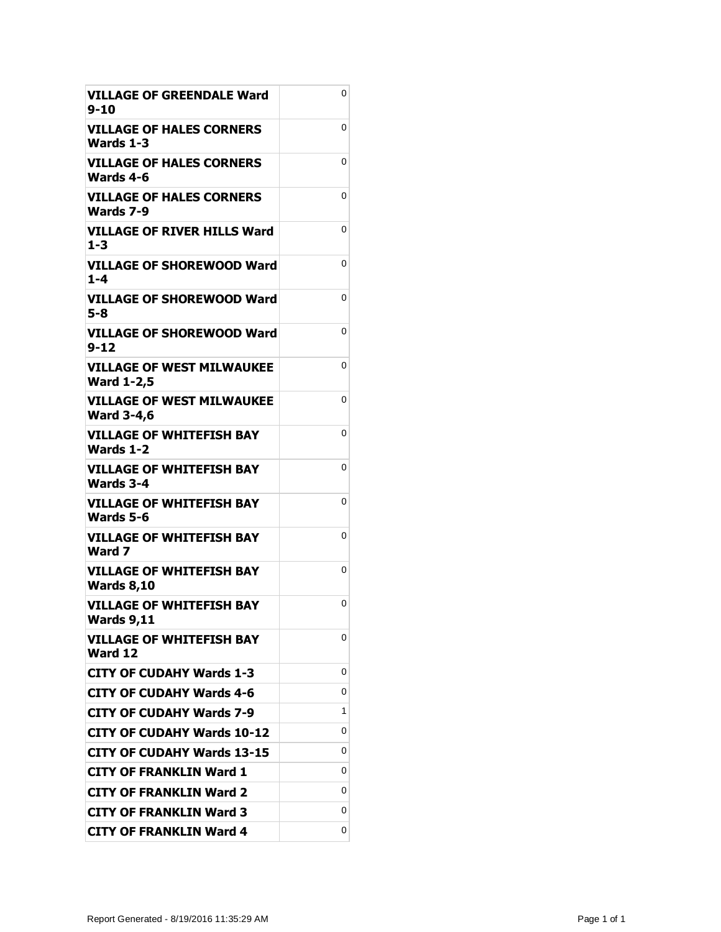| <b>VILLAGE OF GREENDALE Ward</b><br>$9 - 10$          | 0 |
|-------------------------------------------------------|---|
| VILLAGE OF HALES CORNERS<br>Wards 1-3                 | 0 |
| VILLAGE OF HALES CORNERS<br>Wards 4-6                 | 0 |
| <b>VILLAGE OF HALES CORNERS</b><br>Wards 7-9          | 0 |
| <b>VILLAGE OF RIVER HILLS Ward</b><br>$1 - 3$         | 0 |
| <b>VILLAGE OF SHOREWOOD Ward</b><br>$1 - 4$           | 0 |
| VILLAGE OF SHOREWOOD Ward<br>5-8                      | 0 |
| VILLAGE OF SHOREWOOD Ward<br>$9 - 12$                 | 0 |
| <b>VILLAGE OF WEST MILWAUKEE</b><br><b>Ward 1-2,5</b> | 0 |
| <b>VILLAGE OF WEST MILWAUKEE</b><br><b>Ward 3-4,6</b> | 0 |
| <b>VILLAGE OF WHITEFISH BAY</b><br>Wards 1-2          | 0 |
| <b>VILLAGE OF WHITEFISH BAY</b><br><b>Wards 3-4</b>   | 0 |
| <b>VILLAGE OF WHITEFISH BAY</b><br>Wards 5-6          | 0 |
| VILLAGE OF WHITEFISH BAY<br>Ward 7                    | 0 |
| <b>VILLAGE OF WHITEFISH BAY</b><br><b>Wards 8,10</b>  | 0 |
| <b>VILLAGE OF WHITEFISH BAY</b><br><b>Wards 9,11</b>  | 0 |
| <b>VILLAGE OF WHITEFISH BAY</b><br>Ward 12            | 0 |
| <b>CITY OF CUDAHY Wards 1-3</b>                       | 0 |
| <b>CITY OF CUDAHY Wards 4-6</b>                       | 0 |
| <b>CITY OF CUDAHY Wards 7-9</b>                       | 1 |
| <b>CITY OF CUDAHY Wards 10-12</b>                     | 0 |
| <b>CITY OF CUDAHY Wards 13-15</b>                     | 0 |
| <b>CITY OF FRANKLIN Ward 1</b>                        | 0 |
| <b>CITY OF FRANKLIN Ward 2</b>                        | 0 |
| <b>CITY OF FRANKLIN Ward 3</b>                        | 0 |
| <b>CITY OF FRANKLIN Ward 4</b>                        | 0 |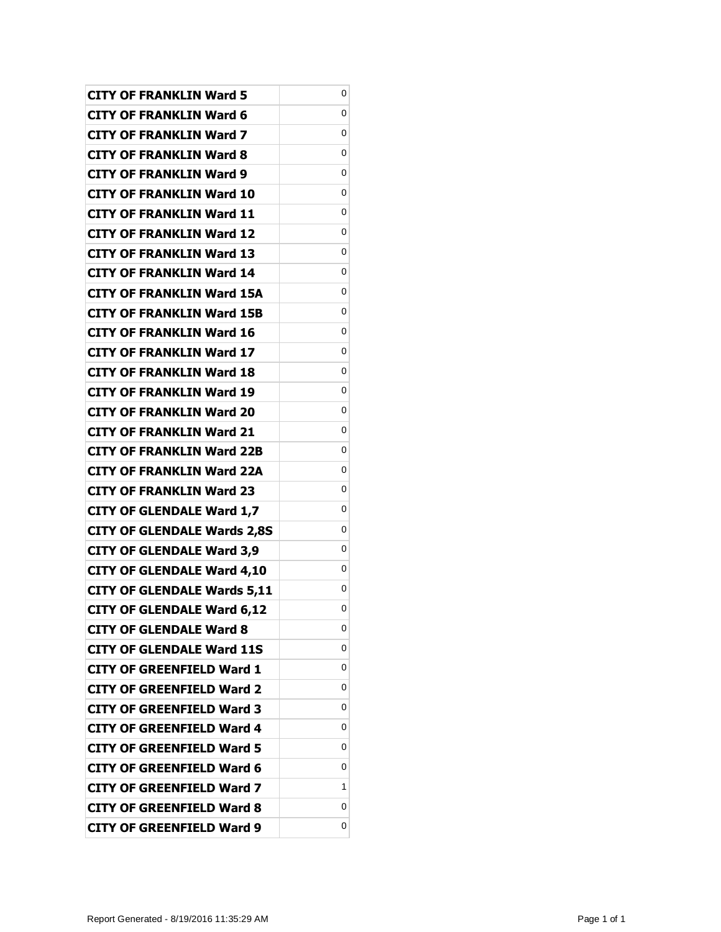| <b>CITY OF FRANKLIN Ward 5</b>     | 0 |
|------------------------------------|---|
| <b>CITY OF FRANKLIN Ward 6</b>     | 0 |
| <b>CITY OF FRANKLIN Ward 7</b>     | 0 |
| <b>CITY OF FRANKLIN Ward 8</b>     | 0 |
| <b>CITY OF FRANKLIN Ward 9</b>     | 0 |
| <b>CITY OF FRANKLIN Ward 10</b>    | 0 |
| <b>CITY OF FRANKLIN Ward 11</b>    | 0 |
| <b>CITY OF FRANKLIN Ward 12</b>    | 0 |
| <b>CITY OF FRANKLIN Ward 13</b>    | 0 |
| <b>CITY OF FRANKLIN Ward 14</b>    | 0 |
| <b>CITY OF FRANKLIN Ward 15A</b>   | 0 |
| <b>CITY OF FRANKLIN Ward 15B</b>   | 0 |
| <b>CITY OF FRANKLIN Ward 16</b>    | 0 |
| <b>CITY OF FRANKLIN Ward 17</b>    | 0 |
| <b>CITY OF FRANKLIN Ward 18</b>    | 0 |
| <b>CITY OF FRANKLIN Ward 19</b>    | 0 |
| <b>CITY OF FRANKLIN Ward 20</b>    | 0 |
| <b>CITY OF FRANKLIN Ward 21</b>    | 0 |
| <b>CITY OF FRANKLIN Ward 22B</b>   | 0 |
| <b>CITY OF FRANKLIN Ward 22A</b>   | 0 |
| <b>CITY OF FRANKLIN Ward 23</b>    | 0 |
| <b>CITY OF GLENDALE Ward 1,7</b>   | 0 |
| <b>CITY OF GLENDALE Wards 2,8S</b> | 0 |
| <b>CITY OF GLENDALE Ward 3,9</b>   | 0 |
| <b>CITY OF GLENDALE Ward 4,10</b>  | 0 |
| <b>CITY OF GLENDALE Wards 5,11</b> | 0 |
| <b>CITY OF GLENDALE Ward 6,12</b>  | 0 |
| <b>CITY OF GLENDALE Ward 8</b>     | 0 |
| <b>CITY OF GLENDALE Ward 11S</b>   | 0 |
| <b>CITY OF GREENFIELD Ward 1</b>   | 0 |
| <b>CITY OF GREENFIELD Ward 2</b>   | 0 |
| <b>CITY OF GREENFIELD Ward 3</b>   | 0 |
| <b>CITY OF GREENFIELD Ward 4</b>   | 0 |
| <b>CITY OF GREENFIELD Ward 5</b>   | 0 |
| <b>CITY OF GREENFIELD Ward 6</b>   | 0 |
| <b>CITY OF GREENFIELD Ward 7</b>   | 1 |
| <b>CITY OF GREENFIELD Ward 8</b>   | 0 |
| <b>CITY OF GREENFIELD Ward 9</b>   | 0 |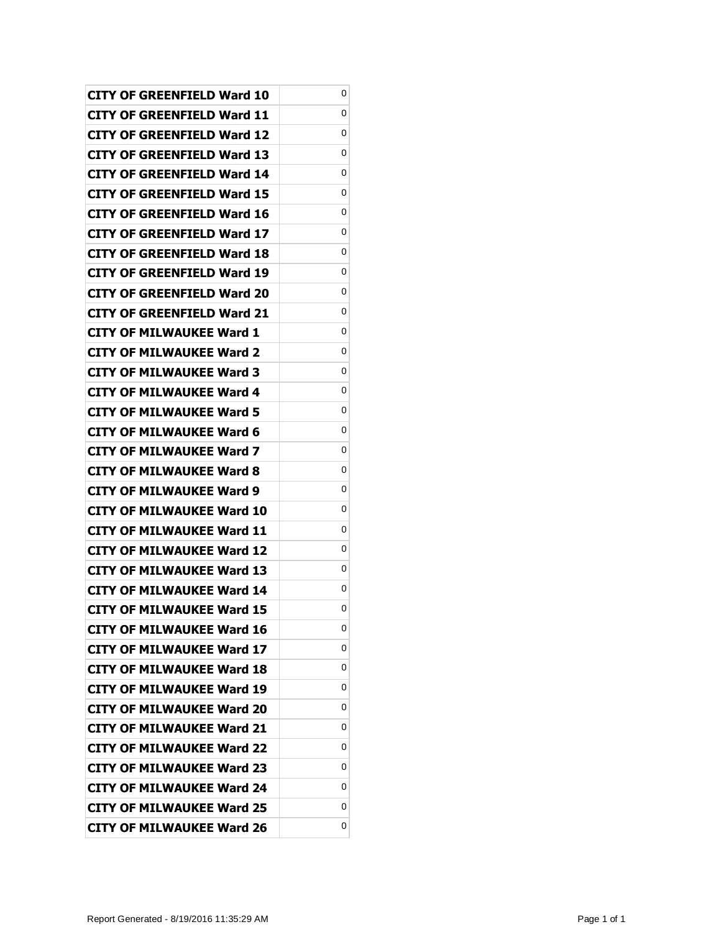| CITY OF GREENFIELD Ward 10        | 0 |
|-----------------------------------|---|
| CITY OF GREENFIELD Ward 11        | 0 |
| CITY OF GREENFIELD Ward 12        | 0 |
| CITY OF GREENFIELD Ward 13        | 0 |
| CITY OF GREENFIELD Ward 14        | 0 |
| CITY OF GREENFIELD Ward 15        | 0 |
| CITY OF GREENFIELD Ward 16        | 0 |
| CITY OF GREENFIELD Ward 17        | 0 |
| CITY OF GREENFIELD Ward 18        | 0 |
| CITY OF GREENFIELD Ward 19        | 0 |
| <b>CITY OF GREENFIELD Ward 20</b> | 0 |
| CITY OF GREENFIELD Ward 21        | 0 |
| CITY OF MILWAUKEE Ward 1          | 0 |
| CITY OF MILWAUKEE Ward 2          | 0 |
| <b>CITY OF MILWAUKEE Ward 3</b>   | 0 |
| <b>CITY OF MILWAUKEE Ward 4</b>   | 0 |
| <b>CITY OF MILWAUKEE Ward 5</b>   | 0 |
| CITY OF MILWAUKEE Ward 6          | 0 |
| CITY OF MILWAUKEE Ward 7          | 0 |
| <b>CITY OF MILWAUKEE Ward 8</b>   | 0 |
| <b>CITY OF MILWAUKEE Ward 9</b>   | 0 |
| <b>CITY OF MILWAUKEE Ward 10</b>  | 0 |
| CITY OF MILWAUKEE Ward 11         | 0 |
| <b>CITY OF MILWAUKEE Ward 12</b>  | 0 |
| <b>CITY OF MILWAUKEE Ward 13</b>  | 0 |
| <b>CITY OF MILWAUKEE Ward 14</b>  | 0 |
| <b>CITY OF MILWAUKEE Ward 15</b>  | 0 |
| <b>CITY OF MILWAUKEE Ward 16</b>  | 0 |
| <b>CITY OF MILWAUKEE Ward 17</b>  | 0 |
| <b>CITY OF MILWAUKEE Ward 18</b>  | 0 |
| <b>CITY OF MILWAUKEE Ward 19</b>  | 0 |
| <b>CITY OF MILWAUKEE Ward 20</b>  | 0 |
| CITY OF MILWAUKEE Ward 21         | 0 |
| <b>CITY OF MILWAUKEE Ward 22</b>  | 0 |
| <b>CITY OF MILWAUKEE Ward 23</b>  | 0 |
| <b>CITY OF MILWAUKEE Ward 24</b>  | 0 |
| <b>CITY OF MILWAUKEE Ward 25</b>  | 0 |
| <b>CITY OF MILWAUKEE Ward 26</b>  | 0 |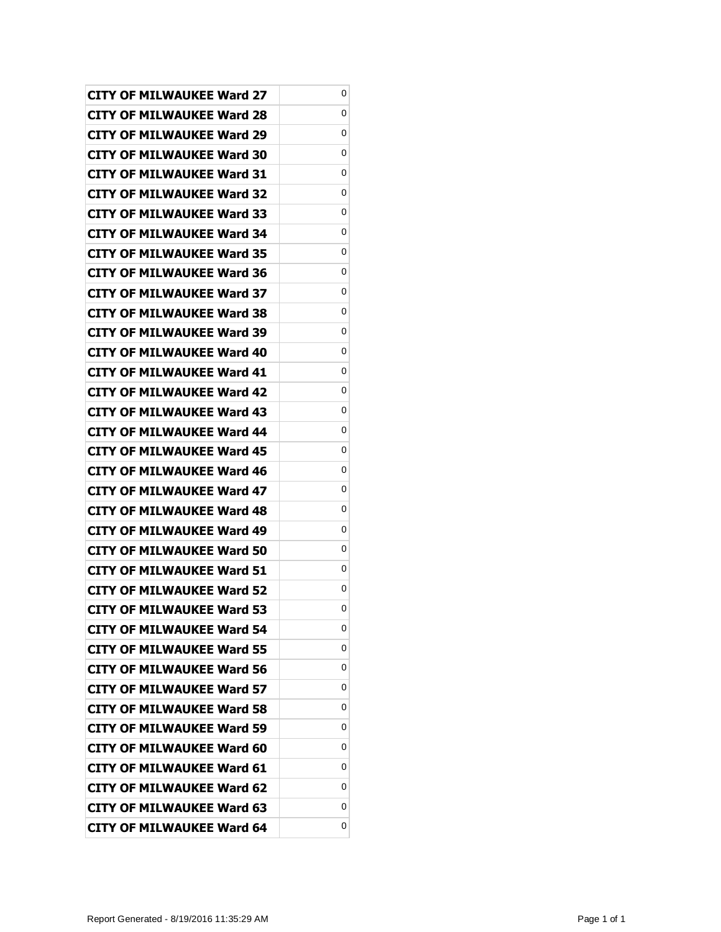| <b>CITY OF MILWAUKEE Ward 27</b> | 0 |
|----------------------------------|---|
| <b>CITY OF MILWAUKEE Ward 28</b> | 0 |
| <b>CITY OF MILWAUKEE Ward 29</b> | 0 |
| <b>CITY OF MILWAUKEE Ward 30</b> | 0 |
| <b>CITY OF MILWAUKEE Ward 31</b> | 0 |
| <b>CITY OF MILWAUKEE Ward 32</b> | 0 |
| <b>CITY OF MILWAUKEE Ward 33</b> | 0 |
| <b>CITY OF MILWAUKEE Ward 34</b> | 0 |
| CITY OF MILWAUKEE Ward 35        | 0 |
| <b>CITY OF MILWAUKEE Ward 36</b> | 0 |
| <b>CITY OF MILWAUKEE Ward 37</b> | 0 |
| <b>CITY OF MILWAUKEE Ward 38</b> | 0 |
| <b>CITY OF MILWAUKEE Ward 39</b> | 0 |
| CITY OF MILWAUKEE Ward 40        | 0 |
| <b>CITY OF MILWAUKEE Ward 41</b> | 0 |
| <b>CITY OF MILWAUKEE Ward 42</b> | 0 |
| <b>CITY OF MILWAUKEE Ward 43</b> | 0 |
| <b>CITY OF MILWAUKEE Ward 44</b> | 0 |
| <b>CITY OF MILWAUKEE Ward 45</b> | 0 |
| <b>CITY OF MILWAUKEE Ward 46</b> | 0 |
| <b>CITY OF MILWAUKEE Ward 47</b> | 0 |
| <b>CITY OF MILWAUKEE Ward 48</b> | 0 |
| CITY OF MILWAUKEE Ward 49        | 0 |
| <b>CITY OF MILWAUKEE Ward 50</b> | 0 |
| <b>CITY OF MILWAUKEE Ward 51</b> | 0 |
| <b>CITY OF MILWAUKEE Ward 52</b> | 0 |
| <b>CITY OF MILWAUKEE Ward 53</b> | 0 |
| <b>CITY OF MILWAUKEE Ward 54</b> | 0 |
| <b>CITY OF MILWAUKEE Ward 55</b> | 0 |
| <b>CITY OF MILWAUKEE Ward 56</b> | 0 |
| <b>CITY OF MILWAUKEE Ward 57</b> | 0 |
| <b>CITY OF MILWAUKEE Ward 58</b> | 0 |
| <b>CITY OF MILWAUKEE Ward 59</b> | 0 |
| <b>CITY OF MILWAUKEE Ward 60</b> | 0 |
| <b>CITY OF MILWAUKEE Ward 61</b> | 0 |
| <b>CITY OF MILWAUKEE Ward 62</b> | 0 |
| <b>CITY OF MILWAUKEE Ward 63</b> | 0 |
| <b>CITY OF MILWAUKEE Ward 64</b> | 0 |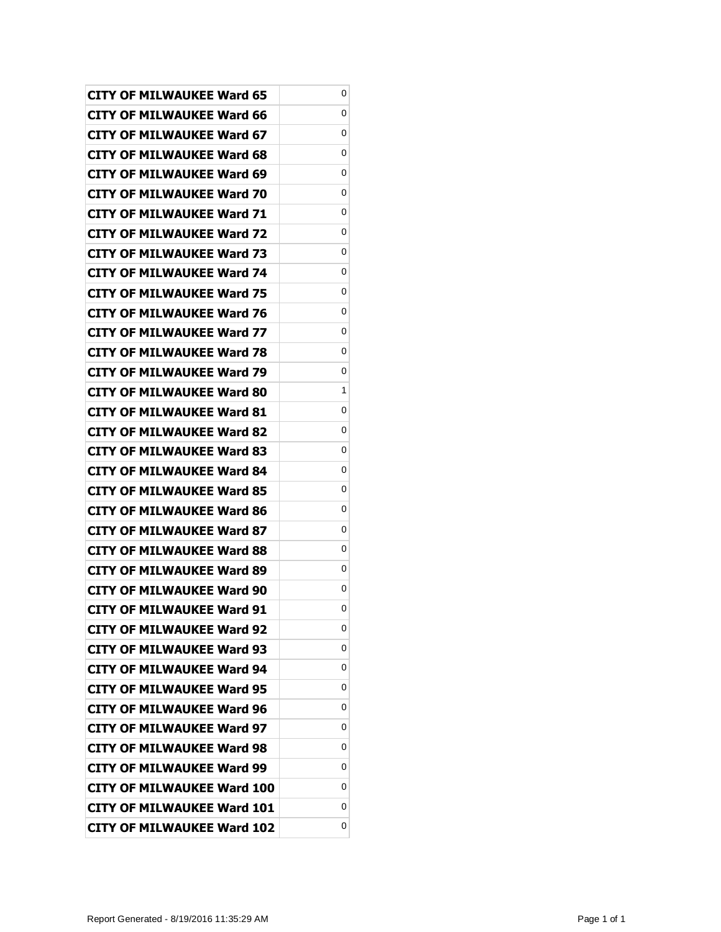| <b>CITY OF MILWAUKEE Ward 65</b>  | 0 |
|-----------------------------------|---|
| <b>CITY OF MILWAUKEE Ward 66</b>  | 0 |
| <b>CITY OF MILWAUKEE Ward 67</b>  | 0 |
| <b>CITY OF MILWAUKEE Ward 68</b>  | 0 |
| <b>CITY OF MILWAUKEE Ward 69</b>  | 0 |
| CITY OF MILWAUKEE Ward 70         | 0 |
| <b>CITY OF MILWAUKEE Ward 71</b>  | 0 |
| <b>CITY OF MILWAUKEE Ward 72</b>  | 0 |
| CITY OF MILWAUKEE Ward 73         | 0 |
| <b>CITY OF MILWAUKEE Ward 74</b>  | 0 |
| <b>CITY OF MILWAUKEE Ward 75</b>  | 0 |
| <b>CITY OF MILWAUKEE Ward 76</b>  | 0 |
| <b>CITY OF MILWAUKEE Ward 77</b>  | 0 |
| CITY OF MILWAUKEE Ward 78         | 0 |
| <b>CITY OF MILWAUKEE Ward 79</b>  | 0 |
| CITY OF MILWAUKEE Ward 80         | 1 |
| <b>CITY OF MILWAUKEE Ward 81</b>  | 0 |
| <b>CITY OF MILWAUKEE Ward 82</b>  | 0 |
| <b>CITY OF MILWAUKEE Ward 83</b>  | 0 |
| <b>CITY OF MILWAUKEE Ward 84</b>  | 0 |
| <b>CITY OF MILWAUKEE Ward 85</b>  | 0 |
| <b>CITY OF MILWAUKEE Ward 86</b>  | 0 |
| CITY OF MILWAUKEE Ward 87         | 0 |
| CITY OF MILWAUKEE Ward 88         | 0 |
| CITY OF MILWAUKEE Ward 89         | 0 |
| <b>CITY OF MILWAUKEE Ward 90</b>  | 0 |
| <b>CITY OF MILWAUKEE Ward 91</b>  | 0 |
| <b>CITY OF MILWAUKEE Ward 92</b>  | 0 |
| <b>CITY OF MILWAUKEE Ward 93</b>  | 0 |
| <b>CITY OF MILWAUKEE Ward 94</b>  | 0 |
| <b>CITY OF MILWAUKEE Ward 95</b>  | 0 |
| <b>CITY OF MILWAUKEE Ward 96</b>  | 0 |
| <b>CITY OF MILWAUKEE Ward 97</b>  | 0 |
| <b>CITY OF MILWAUKEE Ward 98</b>  | 0 |
| <b>CITY OF MILWAUKEE Ward 99</b>  | 0 |
| <b>CITY OF MILWAUKEE Ward 100</b> | 0 |
| <b>CITY OF MILWAUKEE Ward 101</b> | 0 |
| <b>CITY OF MILWAUKEE Ward 102</b> | 0 |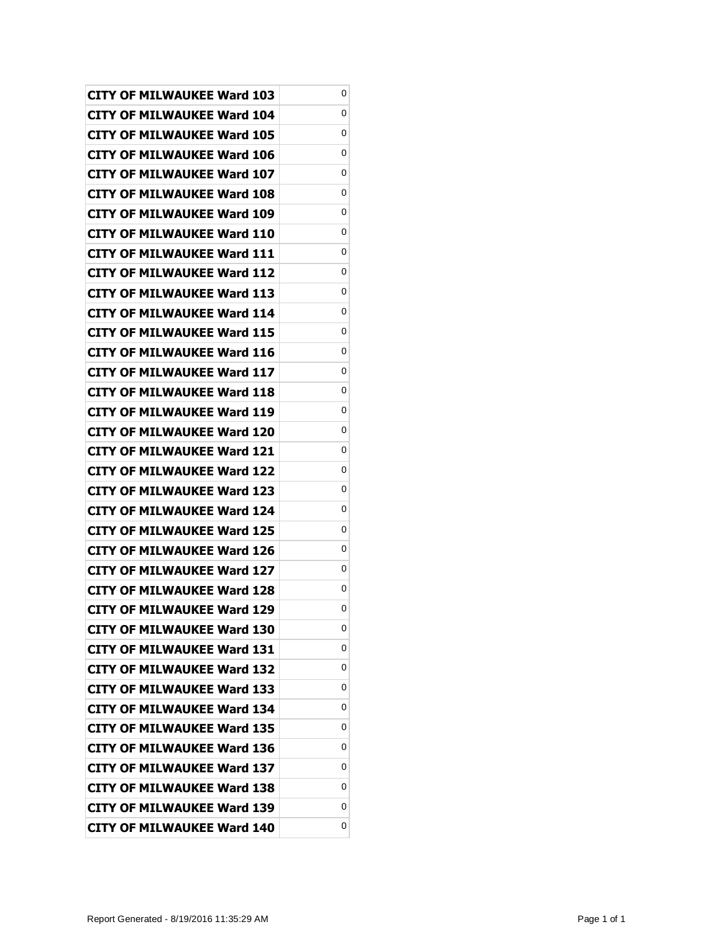| <b>CITY OF MILWAUKEE Ward 103</b> | 0 |
|-----------------------------------|---|
| CITY OF MILWAUKEE Ward 104        | 0 |
| CITY OF MILWAUKEE Ward 105        | 0 |
| CITY OF MILWAUKEE Ward 106        | 0 |
| CITY OF MILWAUKEE Ward 107        | 0 |
| CITY OF MILWAUKEE Ward 108        | 0 |
| CITY OF MILWAUKEE Ward 109        | 0 |
| CITY OF MILWAUKEE Ward 110        | 0 |
| <b>CITY OF MILWAUKEE Ward 111</b> | 0 |
| CITY OF MILWAUKEE Ward 112        | 0 |
| CITY OF MILWAUKEE Ward 113        | 0 |
| CITY OF MILWAUKEE Ward 114        | 0 |
| CITY OF MILWAUKEE Ward 115        | 0 |
| <b>CITY OF MILWAUKEE Ward 116</b> | 0 |
| <b>CITY OF MILWAUKEE Ward 117</b> | 0 |
| CITY OF MILWAUKEE Ward 118        | 0 |
| CITY OF MILWAUKEE Ward 119        | 0 |
| CITY OF MILWAUKEE Ward 120        | 0 |
| <b>CITY OF MILWAUKEE Ward 121</b> | 0 |
| <b>CITY OF MILWAUKEE Ward 122</b> | 0 |
| CITY OF MILWAUKEE Ward 123        | 0 |
| <b>CITY OF MILWAUKEE Ward 124</b> | 0 |
| <b>CITY OF MILWAUKEE Ward 125</b> | 0 |
| <b>CITY OF MILWAUKEE Ward 126</b> | 0 |
| CITY OF MILWAUKEE Ward 127        | 0 |
| <b>CITY OF MILWAUKEE Ward 128</b> | 0 |
| <b>CITY OF MILWAUKEE Ward 129</b> | 0 |
| <b>CITY OF MILWAUKEE Ward 130</b> | 0 |
| <b>CITY OF MILWAUKEE Ward 131</b> | 0 |
| <b>CITY OF MILWAUKEE Ward 132</b> | 0 |
| CITY OF MILWAUKEE Ward 133        | 0 |
| <b>CITY OF MILWAUKEE Ward 134</b> | 0 |
| <b>CITY OF MILWAUKEE Ward 135</b> | 0 |
| CITY OF MILWAUKEE Ward 136        | 0 |
| <b>CITY OF MILWAUKEE Ward 137</b> | 0 |
| CITY OF MILWAUKEE Ward 138        | 0 |
| <b>CITY OF MILWAUKEE Ward 139</b> | 0 |
| <b>CITY OF MILWAUKEE Ward 140</b> | 0 |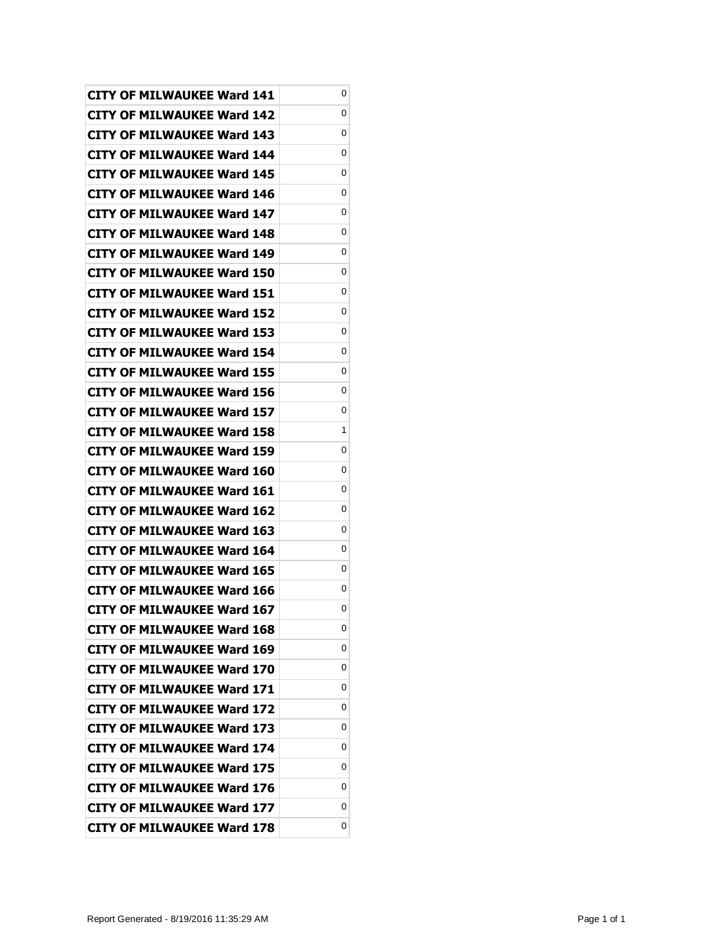| <b>CITY OF MILWAUKEE Ward 141</b> | 0 |
|-----------------------------------|---|
| <b>CITY OF MILWAUKEE Ward 142</b> | 0 |
| <b>CITY OF MILWAUKEE Ward 143</b> | 0 |
| <b>CITY OF MILWAUKEE Ward 144</b> | 0 |
| <b>CITY OF MILWAUKEE Ward 145</b> | 0 |
| CITY OF MILWAUKEE Ward 146        | 0 |
| CITY OF MILWAUKEE Ward 147        | 0 |
| <b>CITY OF MILWAUKEE Ward 148</b> | 0 |
| CITY OF MILWAUKEE Ward 149        | 0 |
| <b>CITY OF MILWAUKEE Ward 150</b> | 0 |
| <b>CITY OF MILWAUKEE Ward 151</b> | 0 |
| CITY OF MILWAUKEE Ward 152        | 0 |
| <b>CITY OF MILWAUKEE Ward 153</b> | 0 |
| <b>CITY OF MILWAUKEE Ward 154</b> | 0 |
| <b>CITY OF MILWAUKEE Ward 155</b> | 0 |
| CITY OF MILWAUKEE Ward 156        | 0 |
| CITY OF MILWAUKEE Ward 157        | 0 |
| <b>CITY OF MILWAUKEE Ward 158</b> | 1 |
| CITY OF MILWAUKEE Ward 159        | 0 |
| <b>CITY OF MILWAUKEE Ward 160</b> | 0 |
| <b>CITY OF MILWAUKEE Ward 161</b> | 0 |
| CITY OF MILWAUKEE Ward 162        | 0 |
| CITY OF MILWAUKEE Ward 163        | 0 |
| CITY OF MILWAUKEE Ward 164        | 0 |
| CITY OF MILWAUKEE Ward 165        | 0 |
| <b>CITY OF MILWAUKEE Ward 166</b> | 0 |
| <b>CITY OF MILWAUKEE Ward 167</b> | 0 |
| <b>CITY OF MILWAUKEE Ward 168</b> | 0 |
| <b>CITY OF MILWAUKEE Ward 169</b> | 0 |
| <b>CITY OF MILWAUKEE Ward 170</b> | 0 |
| <b>CITY OF MILWAUKEE Ward 171</b> | 0 |
| <b>CITY OF MILWAUKEE Ward 172</b> | 0 |
| <b>CITY OF MILWAUKEE Ward 173</b> | 0 |
| <b>CITY OF MILWAUKEE Ward 174</b> | 0 |
| <b>CITY OF MILWAUKEE Ward 175</b> | 0 |
| <b>CITY OF MILWAUKEE Ward 176</b> | 0 |
| <b>CITY OF MILWAUKEE Ward 177</b> | 0 |
| <b>CITY OF MILWAUKEE Ward 178</b> | 0 |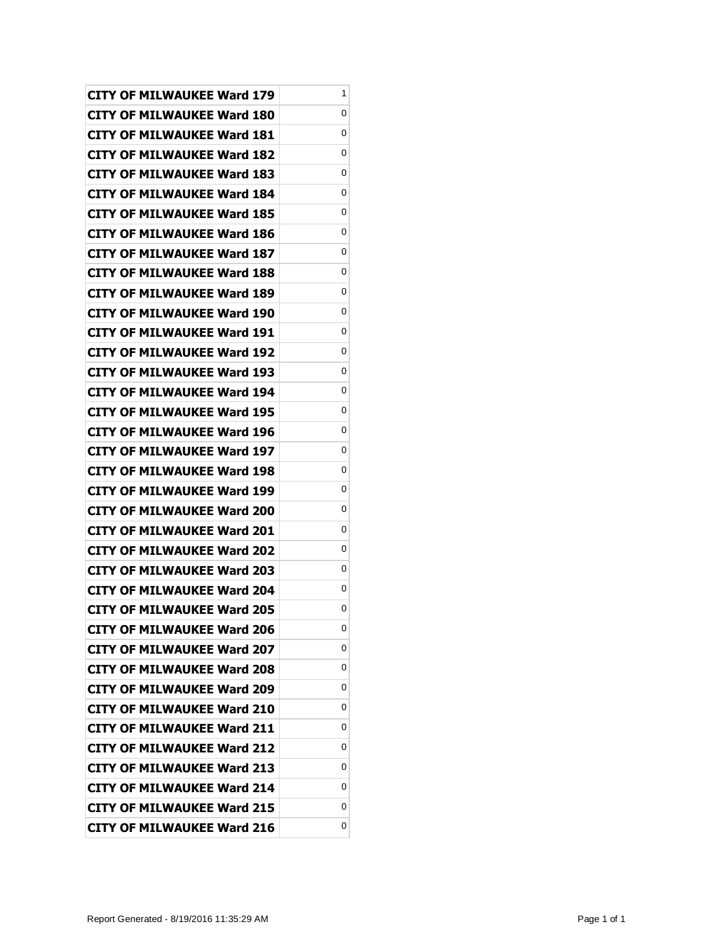| <b>CITY OF MILWAUKEE Ward 179</b> | 1 |
|-----------------------------------|---|
| <b>CITY OF MILWAUKEE Ward 180</b> | 0 |
| <b>CITY OF MILWAUKEE Ward 181</b> | 0 |
| <b>CITY OF MILWAUKEE Ward 182</b> | 0 |
| <b>CITY OF MILWAUKEE Ward 183</b> | 0 |
| CITY OF MILWAUKEE Ward 184        | 0 |
| CITY OF MILWAUKEE Ward 185        | 0 |
| <b>CITY OF MILWAUKEE Ward 186</b> | 0 |
| <b>CITY OF MILWAUKEE Ward 187</b> | 0 |
| <b>CITY OF MILWAUKEE Ward 188</b> | 0 |
| <b>CITY OF MILWAUKEE Ward 189</b> | 0 |
| CITY OF MILWAUKEE Ward 190        | 0 |
| <b>CITY OF MILWAUKEE Ward 191</b> | 0 |
| <b>CITY OF MILWAUKEE Ward 192</b> | 0 |
| <b>CITY OF MILWAUKEE Ward 193</b> | 0 |
| <b>CITY OF MILWAUKEE Ward 194</b> | 0 |
| CITY OF MILWAUKEE Ward 195        | 0 |
| <b>CITY OF MILWAUKEE Ward 196</b> | 0 |
| CITY OF MILWAUKEE Ward 197        | 0 |
| <b>CITY OF MILWAUKEE Ward 198</b> | 0 |
| <b>CITY OF MILWAUKEE Ward 199</b> | 0 |
| CITY OF MILWAUKEE Ward 200        | 0 |
| CITY OF MILWAUKEE Ward 201        | 0 |
| <b>CITY OF MILWAUKEE Ward 202</b> | 0 |
| CITY OF MILWAUKEE Ward 203        | 0 |
| <b>CITY OF MILWAUKEE Ward 204</b> | 0 |
| <b>CITY OF MILWAUKEE Ward 205</b> | 0 |
| <b>CITY OF MILWAUKEE Ward 206</b> | 0 |
| <b>CITY OF MILWAUKEE Ward 207</b> | 0 |
| <b>CITY OF MILWAUKEE Ward 208</b> | 0 |
| <b>CITY OF MILWAUKEE Ward 209</b> | 0 |
| <b>CITY OF MILWAUKEE Ward 210</b> | 0 |
| <b>CITY OF MILWAUKEE Ward 211</b> | 0 |
| <b>CITY OF MILWAUKEE Ward 212</b> | 0 |
| <b>CITY OF MILWAUKEE Ward 213</b> | 0 |
| <b>CITY OF MILWAUKEE Ward 214</b> | 0 |
| <b>CITY OF MILWAUKEE Ward 215</b> | 0 |
| <b>CITY OF MILWAUKEE Ward 216</b> | 0 |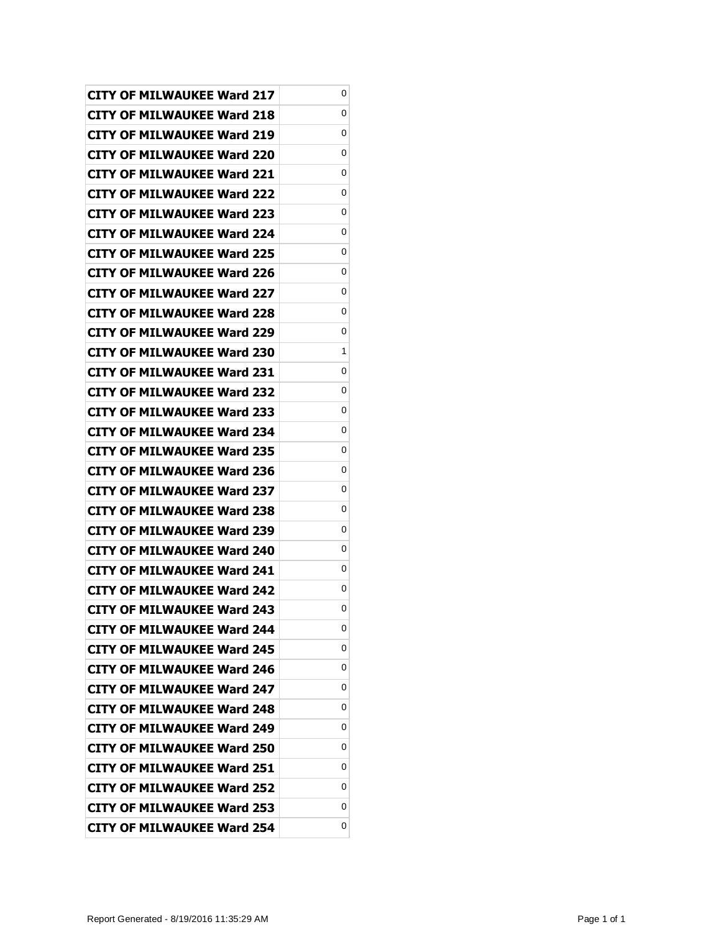| <b>CITY OF MILWAUKEE Ward 217</b> | 0 |
|-----------------------------------|---|
| CITY OF MILWAUKEE Ward 218        | 0 |
| <b>CITY OF MILWAUKEE Ward 219</b> | 0 |
| <b>CITY OF MILWAUKEE Ward 220</b> | 0 |
| <b>CITY OF MILWAUKEE Ward 221</b> | 0 |
| CITY OF MILWAUKEE Ward 222        | 0 |
| CITY OF MILWAUKEE Ward 223        | 0 |
| <b>CITY OF MILWAUKEE Ward 224</b> | 0 |
| <b>CITY OF MILWAUKEE Ward 225</b> | 0 |
| <b>CITY OF MILWAUKEE Ward 226</b> | 0 |
| <b>CITY OF MILWAUKEE Ward 227</b> | 0 |
| CITY OF MILWAUKEE Ward 228        | 0 |
| <b>CITY OF MILWAUKEE Ward 229</b> | 0 |
| <b>CITY OF MILWAUKEE Ward 230</b> | 1 |
| CITY OF MILWAUKEE Ward 231        | 0 |
| <b>CITY OF MILWAUKEE Ward 232</b> | 0 |
| CITY OF MILWAUKEE Ward 233        | 0 |
| <b>CITY OF MILWAUKEE Ward 234</b> | 0 |
| <b>CITY OF MILWAUKEE Ward 235</b> | 0 |
| <b>CITY OF MILWAUKEE Ward 236</b> | 0 |
| <b>CITY OF MILWAUKEE Ward 237</b> | 0 |
| CITY OF MILWAUKEE Ward 238        | 0 |
| CITY OF MILWAUKEE Ward 239        | 0 |
| <b>CITY OF MILWAUKEE Ward 240</b> | 0 |
| CITY OF MILWAUKEE Ward 241        | 0 |
| <b>CITY OF MILWAUKEE Ward 242</b> | 0 |
| <b>CITY OF MILWAUKEE Ward 243</b> | 0 |
| <b>CITY OF MILWAUKEE Ward 244</b> | 0 |
| <b>CITY OF MILWAUKEE Ward 245</b> | 0 |
| <b>CITY OF MILWAUKEE Ward 246</b> | 0 |
| <b>CITY OF MILWAUKEE Ward 247</b> | 0 |
| <b>CITY OF MILWAUKEE Ward 248</b> | 0 |
| <b>CITY OF MILWAUKEE Ward 249</b> | 0 |
| CITY OF MILWAUKEE Ward 250        | 0 |
| <b>CITY OF MILWAUKEE Ward 251</b> | 0 |
| <b>CITY OF MILWAUKEE Ward 252</b> | 0 |
| <b>CITY OF MILWAUKEE Ward 253</b> | 0 |
| <b>CITY OF MILWAUKEE Ward 254</b> | 0 |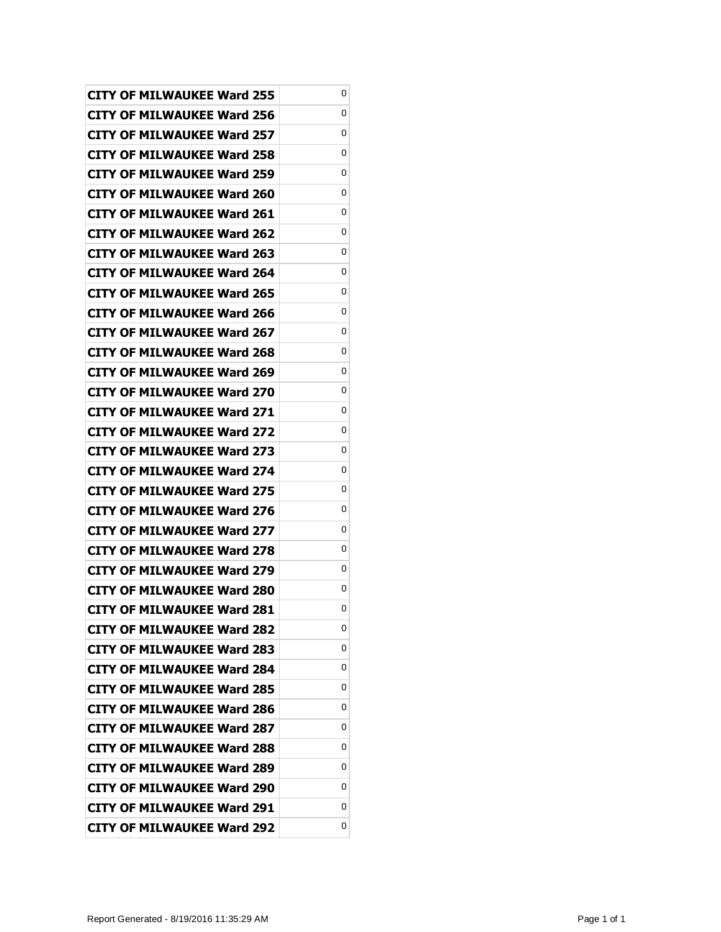| <b>CITY OF MILWAUKEE Ward 255</b> | 0 |
|-----------------------------------|---|
| <b>CITY OF MILWAUKEE Ward 256</b> | 0 |
| <b>CITY OF MILWAUKEE Ward 257</b> | 0 |
| <b>CITY OF MILWAUKEE Ward 258</b> | 0 |
| <b>CITY OF MILWAUKEE Ward 259</b> | 0 |
| CITY OF MILWAUKEE Ward 260        | 0 |
| <b>CITY OF MILWAUKEE Ward 261</b> | 0 |
| <b>CITY OF MILWAUKEE Ward 262</b> | 0 |
| <b>CITY OF MILWAUKEE Ward 263</b> | 0 |
| <b>CITY OF MILWAUKEE Ward 264</b> | 0 |
| <b>CITY OF MILWAUKEE Ward 265</b> | 0 |
| <b>CITY OF MILWAUKEE Ward 266</b> | 0 |
| <b>CITY OF MILWAUKEE Ward 267</b> | 0 |
| CITY OF MILWAUKEE Ward 268        | 0 |
| CITY OF MILWAUKEE Ward 269        | 0 |
| <b>CITY OF MILWAUKEE Ward 270</b> | 0 |
| <b>CITY OF MILWAUKEE Ward 271</b> | 0 |
| <b>CITY OF MILWAUKEE Ward 272</b> | 0 |
| <b>CITY OF MILWAUKEE Ward 273</b> | 0 |
| <b>CITY OF MILWAUKEE Ward 274</b> | 0 |
| <b>CITY OF MILWAUKEE Ward 275</b> | 0 |
| <b>CITY OF MILWAUKEE Ward 276</b> | 0 |
| <b>CITY OF MILWAUKEE Ward 277</b> | 0 |
| <b>CITY OF MILWAUKEE Ward 278</b> | 0 |
| <b>CITY OF MILWAUKEE Ward 279</b> | 0 |
| <b>CITY OF MILWAUKEE Ward 280</b> | 0 |
| <b>CITY OF MILWAUKEE Ward 281</b> | 0 |
| <b>CITY OF MILWAUKEE Ward 282</b> | 0 |
| <b>CITY OF MILWAUKEE Ward 283</b> | 0 |
| <b>CITY OF MILWAUKEE Ward 284</b> | 0 |
| <b>CITY OF MILWAUKEE Ward 285</b> | 0 |
| <b>CITY OF MILWAUKEE Ward 286</b> | 0 |
| <b>CITY OF MILWAUKEE Ward 287</b> | 0 |
| CITY OF MILWAUKEE Ward 288        | 0 |
| <b>CITY OF MILWAUKEE Ward 289</b> | 0 |
| <b>CITY OF MILWAUKEE Ward 290</b> | 0 |
| <b>CITY OF MILWAUKEE Ward 291</b> | 0 |
| <b>CITY OF MILWAUKEE Ward 292</b> | 0 |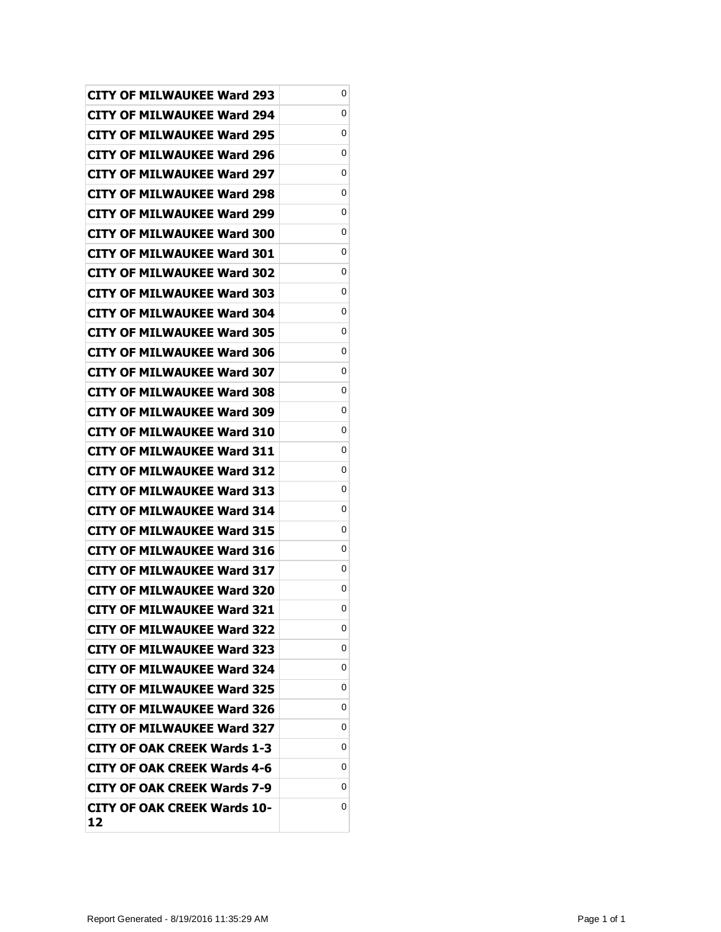| <b>CITY OF MILWAUKEE Ward 293</b>        | 0 |
|------------------------------------------|---|
| CITY OF MILWAUKEE Ward 294               | 0 |
| <b>CITY OF MILWAUKEE Ward 295</b>        | 0 |
| <b>CITY OF MILWAUKEE Ward 296</b>        | 0 |
| <b>CITY OF MILWAUKEE Ward 297</b>        | 0 |
| CITY OF MILWAUKEE Ward 298               | 0 |
| CITY OF MILWAUKEE Ward 299               | 0 |
| <b>CITY OF MILWAUKEE Ward 300</b>        | 0 |
| <b>CITY OF MILWAUKEE Ward 301</b>        | 0 |
| <b>CITY OF MILWAUKEE Ward 302</b>        | 0 |
| <b>CITY OF MILWAUKEE Ward 303</b>        | 0 |
| CITY OF MILWAUKEE Ward 304               | 0 |
| <b>CITY OF MILWAUKEE Ward 305</b>        | 0 |
| <b>CITY OF MILWAUKEE Ward 306</b>        | 0 |
| <b>CITY OF MILWAUKEE Ward 307</b>        | 0 |
| <b>CITY OF MILWAUKEE Ward 308</b>        | 0 |
| <b>CITY OF MILWAUKEE Ward 309</b>        | 0 |
| <b>CITY OF MILWAUKEE Ward 310</b>        | 0 |
| <b>CITY OF MILWAUKEE Ward 311</b>        | 0 |
| <b>CITY OF MILWAUKEE Ward 312</b>        | 0 |
| <b>CITY OF MILWAUKEE Ward 313</b>        | 0 |
| CITY OF MILWAUKEE Ward 314               | 0 |
| CITY OF MILWAUKEE Ward 315               | 0 |
| CITY OF MILWAUKEE Ward 316               | 0 |
| CITY OF MILWAUKEE Ward 317               | 0 |
| <b>CITY OF MILWAUKEE Ward 320</b>        | 0 |
| <b>CITY OF MILWAUKEE Ward 321</b>        | 0 |
| <b>CITY OF MILWAUKEE Ward 322</b>        | 0 |
| <b>CITY OF MILWAUKEE Ward 323</b>        | 0 |
| <b>CITY OF MILWAUKEE Ward 324</b>        | 0 |
| <b>CITY OF MILWAUKEE Ward 325</b>        | 0 |
| <b>CITY OF MILWAUKEE Ward 326</b>        | 0 |
| <b>CITY OF MILWAUKEE Ward 327</b>        | 0 |
| CITY OF OAK CREEK Wards 1-3              | 0 |
| <b>CITY OF OAK CREEK Wards 4-6</b>       | 0 |
| <b>CITY OF OAK CREEK Wards 7-9</b>       | 0 |
| <b>CITY OF OAK CREEK Wards 10-</b><br>12 | 0 |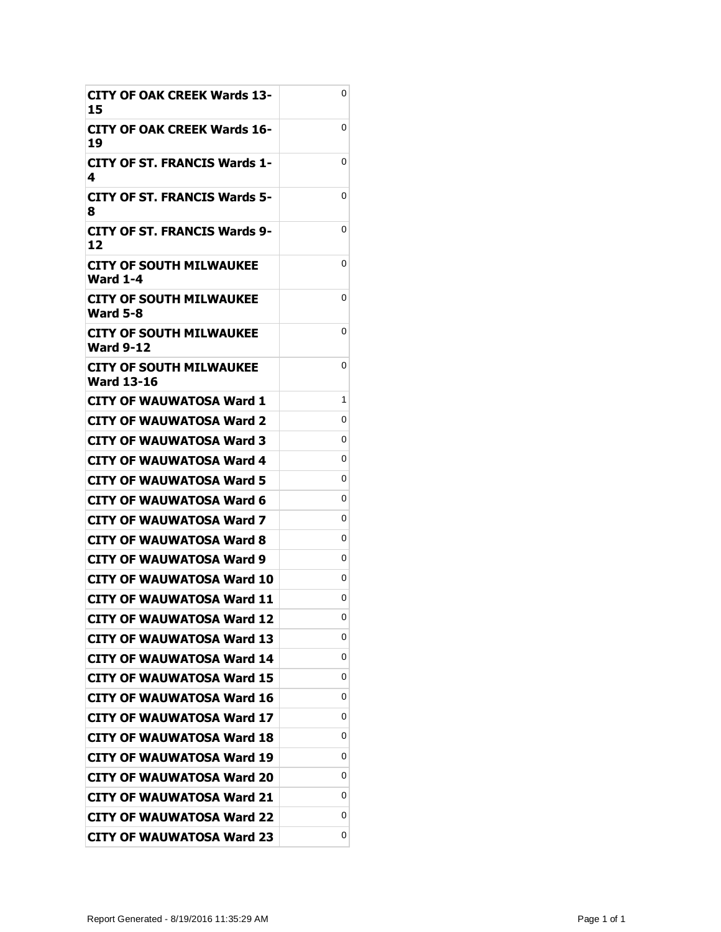| <b>CITY OF OAK CREEK Wards 13-</b><br>15     | 0 |
|----------------------------------------------|---|
| CITY OF OAK CREEK Wards 16-<br>19            | 0 |
| CITY OF ST. FRANCIS Wards 1-<br>4            | 0 |
| <b>CITY OF ST. FRANCIS Wards 5-</b><br>8     | 0 |
| <b>CITY OF ST. FRANCIS Wards 9-</b><br>12    | 0 |
| <b>CITY OF SOUTH MILWAUKEE</b><br>Ward 1-4   | 0 |
| CITY OF SOUTH MILWAUKEE<br><b>Ward 5-8</b>   | 0 |
| CITY OF SOUTH MILWAUKEE<br>Ward 9-12         | 0 |
| CITY OF SOUTH MILWAUKEE<br><b>Ward 13-16</b> | 0 |
| CITY OF WAUWATOSA Ward 1                     | 1 |
| <b>CITY OF WAUWATOSA Ward 2</b>              | 0 |
| CITY OF WAUWATOSA Ward 3                     | 0 |
| CITY OF WAUWATOSA Ward 4                     | 0 |
| CITY OF WAUWATOSA Ward 5                     | 0 |
| CITY OF WAUWATOSA Ward 6                     | 0 |
| CITY OF WAUWATOSA Ward 7                     | 0 |
| CITY OF WAUWATOSA Ward 8                     | 0 |
| CITY OF WAUWATOSA Ward 9                     | 0 |
| CITY OF WAUWATOSA Ward 10                    | 0 |
| <b>CITY OF WAUWATOSA Ward 11</b>             | 0 |
| <b>CITY OF WAUWATOSA Ward 12</b>             | 0 |
| <b>CITY OF WAUWATOSA Ward 13</b>             | 0 |
| <b>CITY OF WAUWATOSA Ward 14</b>             | 0 |
| <b>CITY OF WAUWATOSA Ward 15</b>             | 0 |
| <b>CITY OF WAUWATOSA Ward 16</b>             | 0 |
| <b>CITY OF WAUWATOSA Ward 17</b>             | 0 |
| <b>CITY OF WAUWATOSA Ward 18</b>             | 0 |
| <b>CITY OF WAUWATOSA Ward 19</b>             | 0 |
| <b>CITY OF WAUWATOSA Ward 20</b>             | 0 |
| <b>CITY OF WAUWATOSA Ward 21</b>             | 0 |
| <b>CITY OF WAUWATOSA Ward 22</b>             | 0 |
| <b>CITY OF WAUWATOSA Ward 23</b>             | 0 |